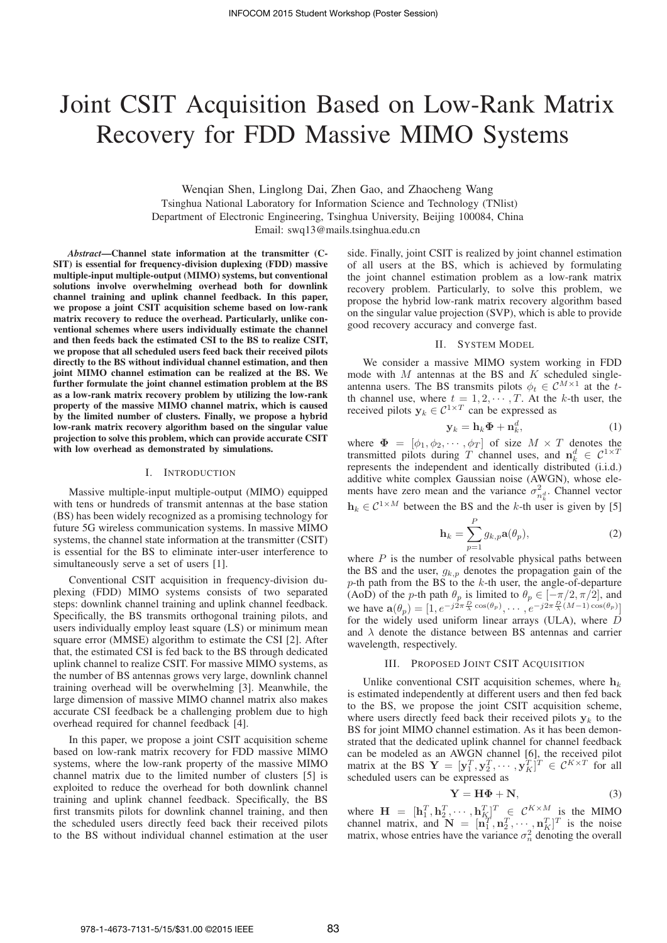# Joint CSIT Acquisition Based on Low-Rank Matrix Recovery for FDD Massive MIMO Systems

Wenqian Shen, Linglong Dai, Zhen Gao, and Zhaocheng Wang Tsinghua National Laboratory for Information Science and Technology (TNlist) Department of Electronic Engineering, Tsinghua University, Beijing 100084, China Email: swq13@mails.tsinghua.edu.cn

*Abstract*—Channel state information at the transmitter (C-SIT) is essential for frequency-division duplexing (FDD) massive multiple-input multiple-output (MIMO) systems, but conventional solutions involve overwhelming overhead both for downlink channel training and uplink channel feedback. In this paper, we propose a joint CSIT acquisition scheme based on low-rank matrix recovery to reduce the overhead. Particularly, unlike conventional schemes where users individually estimate the channel and then feeds back the estimated CSI to the BS to realize CSIT, we propose that all scheduled users feed back their received pilots directly to the BS without individual channel estimation, and then joint MIMO channel estimation can be realized at the BS. We further formulate the joint channel estimation problem at the BS as a low-rank matrix recovery problem by utilizing the low-rank property of the massive MIMO channel matrix, which is caused by the limited number of clusters. Finally, we propose a hybrid low-rank matrix recovery algorithm based on the singular value projection to solve this problem, which can provide accurate CSIT with low overhead as demonstrated by simulations.

## I. INTRODUCTION

Massive multiple-input multiple-output (MIMO) equipped with tens or hundreds of transmit antennas at the base station (BS) has been widely recognized as a promising technology for future 5G wireless communication systems. In massive MIMO systems, the channel state information at the transmitter (CSIT) is essential for the BS to eliminate inter-user interference to simultaneously serve a set of users [1].

Conventional CSIT acquisition in frequency-division duplexing (FDD) MIMO systems consists of two separated steps: downlink channel training and uplink channel feedback. Specifically, the BS transmits orthogonal training pilots, and users individually employ least square (LS) or minimum mean square error (MMSE) algorithm to estimate the CSI [2]. After that, the estimated CSI is fed back to the BS through dedicated uplink channel to realize CSIT. For massive MIMO systems, as the number of BS antennas grows very large, downlink channel training overhead will be overwhelming [3]. Meanwhile, the large dimension of massive MIMO channel matrix also makes accurate CSI feedback be a challenging problem due to high overhead required for channel feedback [4].

In this paper, we propose a joint CSIT acquisition scheme based on low-rank matrix recovery for FDD massive MIMO systems, where the low-rank property of the massive MIMO channel matrix due to the limited number of clusters [5] is exploited to reduce the overhead for both downlink channel training and uplink channel feedback. Specifically, the BS first transmits pilots for downlink channel training, and then the scheduled users directly feed back their received pilots to the BS without individual channel estimation at the user side. Finally, joint CSIT is realized by joint channel estimation of all users at the BS, which is achieved by formulating the joint channel estimation problem as a low-rank matrix recovery problem. Particularly, to solve this problem, we propose the hybrid low-rank matrix recovery algorithm based on the singular value projection (SVP), which is able to provide good recovery accuracy and converge fast.

#### II. SYSTEM MODEL

We consider a massive MIMO system working in FDD mode with  $M$  antennas at the BS and  $K$  scheduled singleantenna users. The BS transmits pilots  $\phi_t \in C^{M \times 1}$  at the tth channel use, where  $t = 1, 2, \dots, T$ . At the k-th user, the received pilots  $y_k \in C^{1 \times T}$  can be expressed as

$$
\mathbf{y}_k = \mathbf{h}_k \mathbf{\Phi} + \mathbf{n}_k^d, \tag{1}
$$

where  $\mathbf{\Phi} = [\phi_1, \phi_2, \cdots, \phi_T]$  of size  $M \times T$  denotes the transmitted pilots during T channel uses and  $\mathbf{n}_i^d \in C^{1 \times T}$ transmitted pilots during T channel uses, and  $\mathbf{n}_k^d \in C^{1 \times T}$ <br>represents the independent and identically distributed (i i d) represents the independent and identically distributed (i.i.d.) additive white complex Gaussian noise (AWGN), whose elements have zero mean and the variance  $\sigma_{n_k^d}^2$ . Channel vector  $h_k \in C^{1 \times M}$  between the BS and the k-th user is given by [5]

$$
\mathbf{h}_k = \sum_{p=1}^P g_{k,p} \mathbf{a}(\theta_p), \qquad (2)
$$

where  $P$  is the number of resolvable physical paths between the BS and the user,  $g_{k,p}$  denotes the propagation gain of the  $p$ -th path from the BS to the  $k$ -th user, the angle-of-departure (AoD) of the p-th path  $\theta_p$  is limited to  $\theta_p \in [-\pi/2, \pi/2]$ , and we have  $p(\theta) = [1, e^{-j2\pi \frac{D}{2} \cos(\theta_p)} \quad e^{-j2\pi \frac{D}{2}(M-1)\cos(\theta_p)}]$ we have  $\mathbf{a}(\theta_p) = [1, e^{-j2\pi \frac{D}{\lambda} \cos(\theta_p)}, \dots, e^{-j2\pi \frac{D}{\lambda}(M-1) \cos(\theta_p)}]$ <br>for the widely used uniform linear arrays (III.A) where *I* for the widely used uniform linear arrays (ULA), where  $\overrightarrow{D}$ <br>and  $\lambda$  denote the distance between BS antennas and carrier and  $\lambda$  denote the distance between BS antennas and carrier wavelength, respectively.

## III. PROPOSED JOINT CSIT ACQUISITION

Unlike conventional CSIT acquisition schemes, where  $h_k$ is estimated independently at different users and then fed back to the BS, we propose the joint CSIT acquisition scheme, where users directly feed back their received pilots  $y_k$  to the BS for joint MIMO channel estimation. As it has been demonstrated that the dedicated uplink channel for channel feedback can be modeled as an AWGN channel [6], the received pilot matrix at the BS  $\mathbf{Y} = [\mathbf{y}_1^T, \mathbf{y}_2^T, \cdots, \mathbf{y}_K^T]^T \in \mathcal{C}^{K \times T}$  for all scheduled users can be expressed as scheduled users can be expressed as

$$
\mathbf{Y} = \mathbf{H}\Phi + \mathbf{N},\tag{3}
$$

where  $\mathbf{H} = [\mathbf{h}_1^T, \mathbf{h}_2^T, \cdots, \mathbf{h}_K^T]^T \in \mathcal{C}^{K \times M}$  is the MIMO<br>channel matrix and  $\mathbf{N} = [\mathbf{n}_1^T, \mathbf{n}_2^T, \cdots, \mathbf{n}_K^T]^T$  is the noise channel matrix, and  $\mathbf{\tilde{N}} = [\mathbf{n}_1^H, \mathbf{n}_2^T, \cdots, \mathbf{n}_K^T]^T$  is the noise<br>matrix whose entries have the variance  $\sigma^2$  denoting the overall matrix, whose entries have the variance  $\sigma_n^2$  denoting the overall